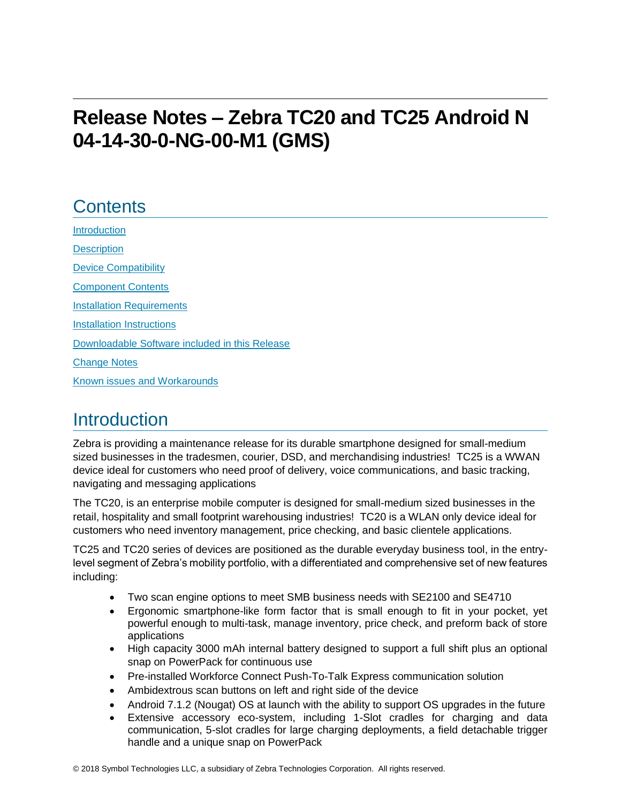# **Release Notes – Zebra TC20 and TC25 Android N 04-14-30-0-NG-00-M1 (GMS)**

# **Contents**

[Introduction](#page-0-0) **[Description](#page-0-0)** [Device Compatibility](#page-1-0) [Component Contents](#page-2-0) [Installation Requirements](#page-3-0) [Installation Instructions](#page-4-0) [Downloadable Software included in this Release](#page-6-0)  [Change Notes](#page-6-1) Known issues [and](#page-11-0) Workarounds

## <span id="page-0-0"></span>**Introduction**

Zebra is providing a maintenance release for its durable smartphone designed for small-medium sized businesses in the tradesmen, courier, DSD, and merchandising industries! TC25 is a WWAN device ideal for customers who need proof of delivery, voice communications, and basic tracking, navigating and messaging applications

The TC20, is an enterprise mobile computer is designed for small-medium sized businesses in the retail, hospitality and small footprint warehousing industries! TC20 is a WLAN only device ideal for customers who need inventory management, price checking, and basic clientele applications.

TC25 and TC20 series of devices are positioned as the durable everyday business tool, in the entrylevel segment of Zebra's mobility portfolio, with a differentiated and comprehensive set of new features including:

- Two scan engine options to meet SMB business needs with SE2100 and SE4710
- Ergonomic smartphone-like form factor that is small enough to fit in your pocket, yet powerful enough to multi-task, manage inventory, price check, and preform back of store applications
- High capacity 3000 mAh internal battery designed to support a full shift plus an optional snap on PowerPack for continuous use
- Pre-installed Workforce Connect Push-To-Talk Express communication solution
- Ambidextrous scan buttons on left and right side of the device
- Android 7.1.2 (Nougat) OS at launch with the ability to support OS upgrades in the future
- Extensive accessory eco-system, including 1-Slot cradles for charging and data communication, 5-slot cradles for large charging deployments, a field detachable trigger handle and a unique snap on PowerPack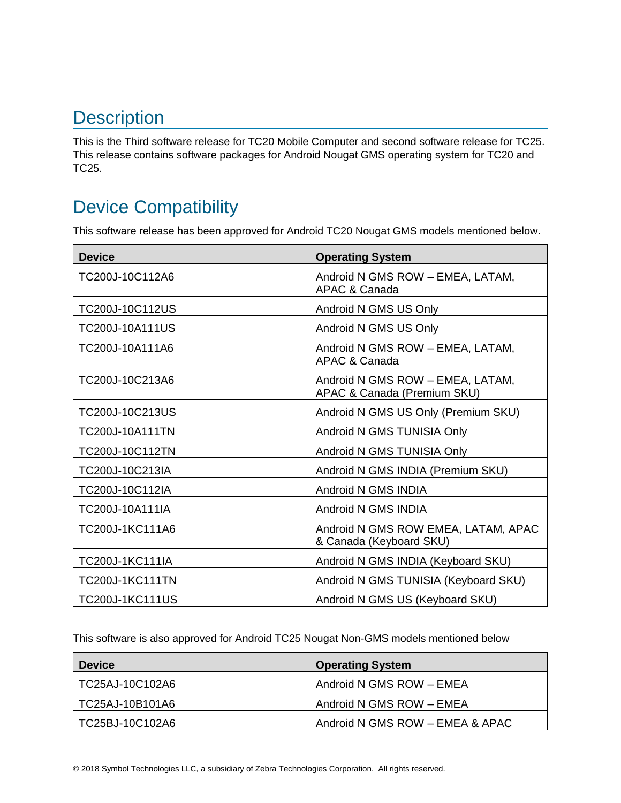# **Description**

This is the Third software release for TC20 Mobile Computer and second software release for TC25. This release contains software packages for Android Nougat GMS operating system for TC20 and TC25.

# <span id="page-1-0"></span>Device Compatibility

This software release has been approved for Android TC20 Nougat GMS models mentioned below.

| <b>Device</b>          | <b>Operating System</b>                                         |
|------------------------|-----------------------------------------------------------------|
| TC200J-10C112A6        | Android N GMS ROW - EMEA, LATAM,<br>APAC & Canada               |
| TC200J-10C112US        | Android N GMS US Only                                           |
| TC200J-10A111US        | Android N GMS US Only                                           |
| TC200J-10A111A6        | Android N GMS ROW - EMEA, LATAM,<br>APAC & Canada               |
| TC200J-10C213A6        | Android N GMS ROW - EMEA, LATAM,<br>APAC & Canada (Premium SKU) |
| TC200J-10C213US        | Android N GMS US Only (Premium SKU)                             |
| TC200J-10A111TN        | Android N GMS TUNISIA Only                                      |
| TC200J-10C112TN        | Android N GMS TUNISIA Only                                      |
| TC200J-10C213IA        | Android N GMS INDIA (Premium SKU)                               |
| TC200J-10C112IA        | Android N GMS INDIA                                             |
| TC200J-10A111IA        | Android N GMS INDIA                                             |
| TC200J-1KC111A6        | Android N GMS ROW EMEA, LATAM, APAC<br>& Canada (Keyboard SKU)  |
| TC200J-1KC111IA        | Android N GMS INDIA (Keyboard SKU)                              |
| <b>TC200J-1KC111TN</b> | Android N GMS TUNISIA (Keyboard SKU)                            |
| <b>TC200J-1KC111US</b> | Android N GMS US (Keyboard SKU)                                 |

This software is also approved for Android TC25 Nougat Non-GMS models mentioned below

| <b>Device</b>   | <b>Operating System</b>         |
|-----------------|---------------------------------|
| TC25AJ-10C102A6 | Android N GMS ROW - EMEA        |
| TC25AJ-10B101A6 | Android N GMS ROW - EMEA        |
| TC25BJ-10C102A6 | Android N GMS ROW - EMEA & APAC |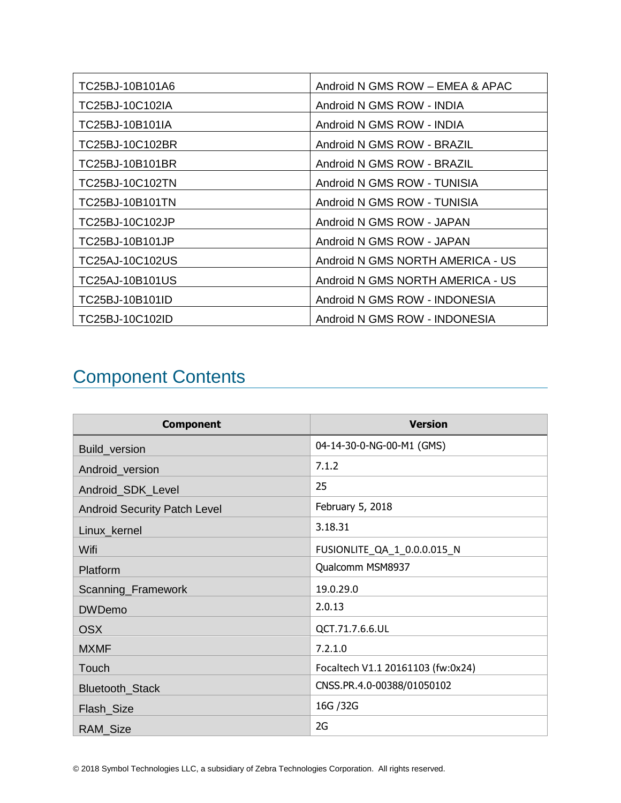| TC25BJ-10B101A6        | Android N GMS ROW - EMEA & APAC  |
|------------------------|----------------------------------|
| TC25BJ-10C102IA        | Android N GMS ROW - INDIA        |
| TC25BJ-10B101IA        | Android N GMS ROW - INDIA        |
| TC25BJ-10C102BR        | Android N GMS ROW - BRAZIL       |
| TC25BJ-10B101BR        | Android N GMS ROW - BRAZIL       |
| TC25BJ-10C102TN        | Android N GMS ROW - TUNISIA      |
| <b>TC25BJ-10B101TN</b> | Android N GMS ROW - TUNISIA      |
| TC25BJ-10C102JP        | Android N GMS ROW - JAPAN        |
| TC25BJ-10B101JP        | Android N GMS ROW - JAPAN        |
| TC25AJ-10C102US        | Android N GMS NORTH AMERICA - US |
| TC25AJ-10B101US        | Android N GMS NORTH AMERICA - US |
| TC25BJ-10B101ID        | Android N GMS ROW - INDONESIA    |
| TC25BJ-10C102ID        | Android N GMS ROW - INDONESIA    |

# <span id="page-2-0"></span>Component Contents

| <b>Component</b>                    | <b>Version</b>                    |
|-------------------------------------|-----------------------------------|
| Build_version                       | 04-14-30-0-NG-00-M1 (GMS)         |
| Android_version                     | 7.1.2                             |
| Android_SDK_Level                   | 25                                |
| <b>Android Security Patch Level</b> | February 5, 2018                  |
| Linux_kernel                        | 3.18.31                           |
| Wifi                                | FUSIONLITE_QA_1_0.0.0.015_N       |
| Platform                            | Qualcomm MSM8937                  |
| Scanning_Framework                  | 19.0.29.0                         |
| <b>DWDemo</b>                       | 2.0.13                            |
| <b>OSX</b>                          | QCT.71.7.6.6.UL                   |
| <b>MXMF</b>                         | 7.2.1.0                           |
| Touch                               | Focaltech V1.1 20161103 (fw:0x24) |
| Bluetooth_Stack                     | CNSS.PR.4.0-00388/01050102        |
| Flash_Size                          | 16G / 32G                         |
| RAM_Size                            | 2G                                |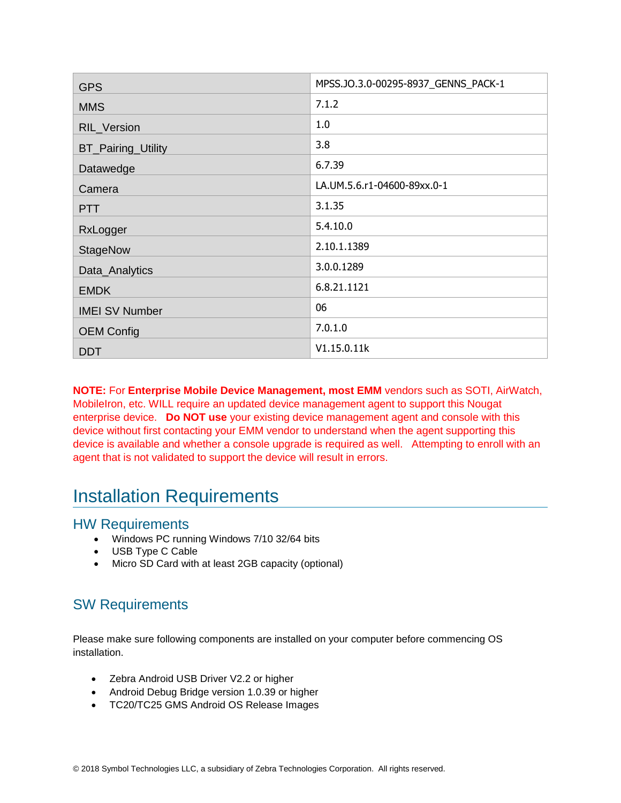| <b>GPS</b>                | MPSS.JO.3.0-00295-8937_GENNS_PACK-1 |
|---------------------------|-------------------------------------|
| <b>MMS</b>                | 7.1.2                               |
| RIL_Version               | 1.0                                 |
| <b>BT_Pairing_Utility</b> | 3.8                                 |
| Datawedge                 | 6.7.39                              |
| Camera                    | LA.UM.5.6.r1-04600-89xx.0-1         |
| <b>PTT</b>                | 3.1.35                              |
| RxLogger                  | 5.4.10.0                            |
| <b>StageNow</b>           | 2.10.1.1389                         |
| Data_Analytics            | 3.0.0.1289                          |
| <b>EMDK</b>               | 6.8.21.1121                         |
| <b>IMEI SV Number</b>     | 06                                  |
| <b>OEM Config</b>         | 7.0.1.0                             |
| <b>DDT</b>                | V1.15.0.11k                         |

**NOTE:** For **Enterprise Mobile Device Management, most EMM** vendors such as SOTI, AirWatch, MobileIron, etc. WILL require an updated device management agent to support this Nougat enterprise device. **Do NOT use** your existing device management agent and console with this device without first contacting your EMM vendor to understand when the agent supporting this device is available and whether a console upgrade is required as well. Attempting to enroll with an agent that is not validated to support the device will result in errors.

## <span id="page-3-0"></span>Installation Requirements

#### HW Requirements

- Windows PC running Windows 7/10 32/64 bits
- USB Type C Cable
- Micro SD Card with at least 2GB capacity (optional)

## SW Requirements

Please make sure following components are installed on your computer before commencing OS installation.

- Zebra Android USB Driver V2.2 or higher
- Android Debug Bridge version 1.0.39 or higher
- TC20/TC25 GMS Android OS Release Images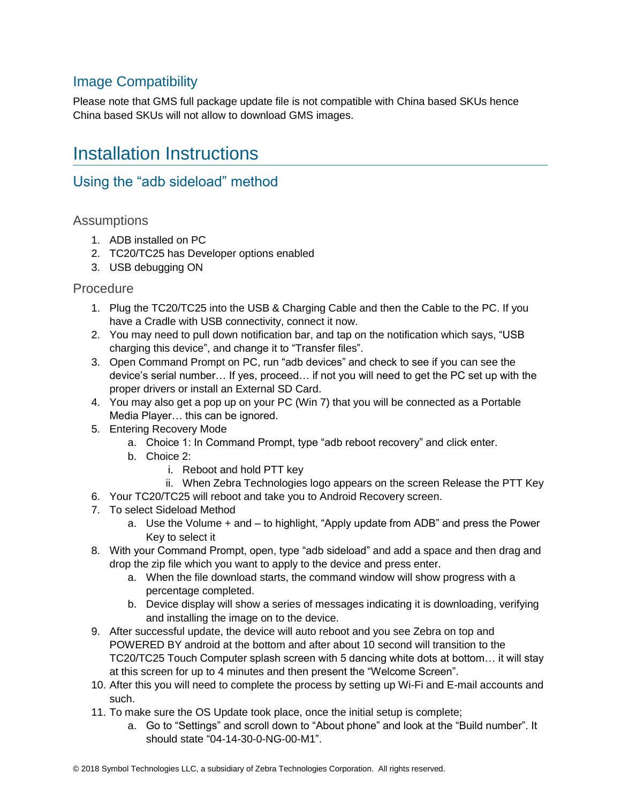### Image Compatibility

Please note that GMS full package update file is not compatible with China based SKUs hence China based SKUs will not allow to download GMS images.

## <span id="page-4-0"></span>Installation Instructions

### Using the "adb sideload" method

#### **Assumptions**

- 1. ADB installed on PC
- 2. TC20/TC25 has Developer options enabled
- 3. USB debugging ON

#### Procedure

- 1. Plug the TC20/TC25 into the USB & Charging Cable and then the Cable to the PC. If you have a Cradle with USB connectivity, connect it now.
- 2. You may need to pull down notification bar, and tap on the notification which says, "USB charging this device", and change it to "Transfer files".
- 3. Open Command Prompt on PC, run "adb devices" and check to see if you can see the device's serial number… If yes, proceed… if not you will need to get the PC set up with the proper drivers or install an External SD Card.
- 4. You may also get a pop up on your PC (Win 7) that you will be connected as a Portable Media Player… this can be ignored.
- 5. Entering Recovery Mode
	- a. Choice 1: In Command Prompt, type "adb reboot recovery" and click enter.
	- b. Choice 2:
		- i. Reboot and hold PTT key
- ii. When Zebra Technologies logo appears on the screen Release the PTT Key
- 6. Your TC20/TC25 will reboot and take you to Android Recovery screen.
- 7. To select Sideload Method
	- a. Use the Volume + and to highlight, "Apply update from ADB" and press the Power Key to select it
- 8. With your Command Prompt, open, type "adb sideload" and add a space and then drag and drop the zip file which you want to apply to the device and press enter.
	- a. When the file download starts, the command window will show progress with a percentage completed.
	- b. Device display will show a series of messages indicating it is downloading, verifying and installing the image on to the device.
- 9. After successful update, the device will auto reboot and you see Zebra on top and POWERED BY android at the bottom and after about 10 second will transition to the TC20/TC25 Touch Computer splash screen with 5 dancing white dots at bottom… it will stay at this screen for up to 4 minutes and then present the "Welcome Screen".
- 10. After this you will need to complete the process by setting up Wi-Fi and E-mail accounts and such.
- 11. To make sure the OS Update took place, once the initial setup is complete;
	- a. Go to "Settings" and scroll down to "About phone" and look at the "Build number". It should state "04-14-30-0-NG-00-M1".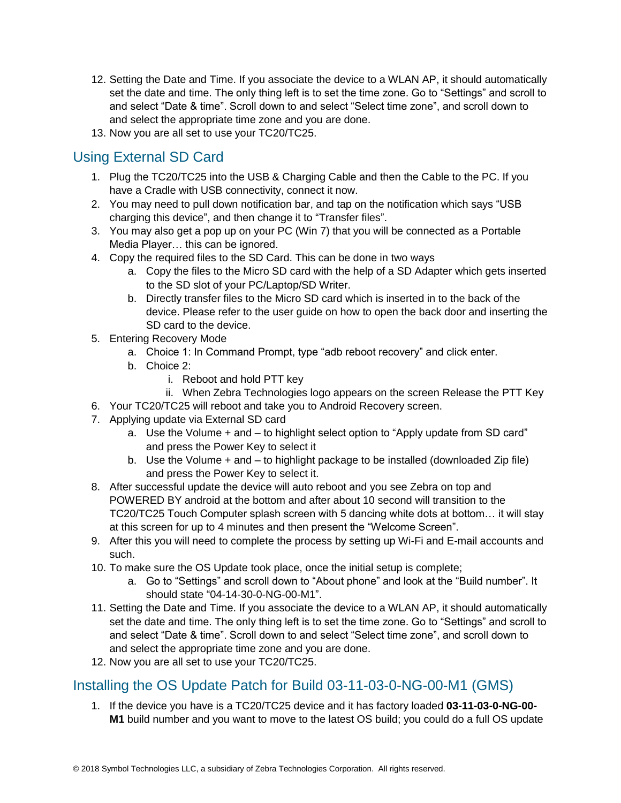- 12. Setting the Date and Time. If you associate the device to a WLAN AP, it should automatically set the date and time. The only thing left is to set the time zone. Go to "Settings" and scroll to and select "Date & time". Scroll down to and select "Select time zone", and scroll down to and select the appropriate time zone and you are done.
- 13. Now you are all set to use your TC20/TC25.

## <span id="page-5-0"></span>Using External SD Card

- 1. Plug the TC20/TC25 into the USB & Charging Cable and then the Cable to the PC. If you have a Cradle with USB connectivity, connect it now.
- 2. You may need to pull down notification bar, and tap on the notification which says "USB charging this device", and then change it to "Transfer files".
- 3. You may also get a pop up on your PC (Win 7) that you will be connected as a Portable Media Player… this can be ignored.
- 4. Copy the required files to the SD Card. This can be done in two ways
	- a. Copy the files to the Micro SD card with the help of a SD Adapter which gets inserted to the SD slot of your PC/Laptop/SD Writer.
	- b. Directly transfer files to the Micro SD card which is inserted in to the back of the device. Please refer to the user guide on how to open the back door and inserting the SD card to the device.
- 5. Entering Recovery Mode
	- a. Choice 1: In Command Prompt, type "adb reboot recovery" and click enter.
	- b. Choice 2:
		- i. Reboot and hold PTT key
		- ii. When Zebra Technologies logo appears on the screen Release the PTT Key
- 6. Your TC20/TC25 will reboot and take you to Android Recovery screen.
- 7. Applying update via External SD card
	- a. Use the Volume + and to highlight select option to "Apply update from SD card" and press the Power Key to select it
	- b. Use the Volume + and to highlight package to be installed (downloaded Zip file) and press the Power Key to select it.
- 8. After successful update the device will auto reboot and you see Zebra on top and POWERED BY android at the bottom and after about 10 second will transition to the TC20/TC25 Touch Computer splash screen with 5 dancing white dots at bottom… it will stay at this screen for up to 4 minutes and then present the "Welcome Screen".
- 9. After this you will need to complete the process by setting up Wi-Fi and E-mail accounts and such.
- 10. To make sure the OS Update took place, once the initial setup is complete;
	- a. Go to "Settings" and scroll down to "About phone" and look at the "Build number". It should state "04-14-30-0-NG-00-M1".
- 11. Setting the Date and Time. If you associate the device to a WLAN AP, it should automatically set the date and time. The only thing left is to set the time zone. Go to "Settings" and scroll to and select "Date & time". Scroll down to and select "Select time zone", and scroll down to and select the appropriate time zone and you are done.
- 12. Now you are all set to use your TC20/TC25.

### Installing the OS Update Patch for Build 03-11-03-0-NG-00-M1 (GMS)

1. If the device you have is a TC20/TC25 device and it has factory loaded **03-11-03-0-NG-00- M1** build number and you want to move to the latest OS build; you could do a full OS update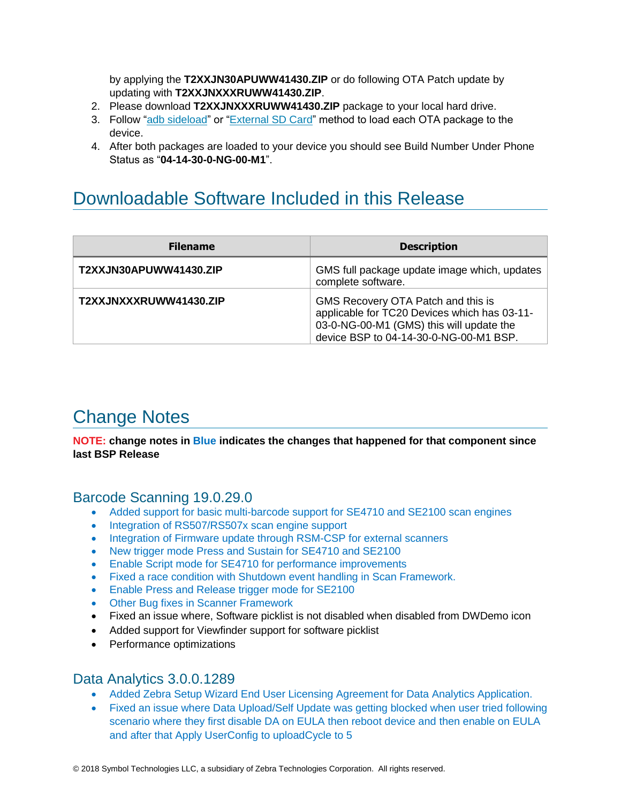by applying the **T2XXJN30APUWW41430.ZIP** or do following OTA Patch update by updating with **T2XXJNXXXRUWW41430.ZIP**.

- 2. Please download **T2XXJNXXXRUWW41430.ZIP** package to your local hard drive.
- 3. Follow ["adb sideload"](adb#_Using_the_) or ["External SD Card"](#page-5-0) method to load each OTA package to the device.
- 4. After both packages are loaded to your device you should see Build Number Under Phone Status as "**04-14-30-0-NG-00-M1**".

# <span id="page-6-0"></span>Downloadable Software Included in this Release

| <b>Filename</b>        | <b>Description</b>                                                                                                                                                       |
|------------------------|--------------------------------------------------------------------------------------------------------------------------------------------------------------------------|
| T2XXJN30APUWW41430.ZIP | GMS full package update image which, updates<br>complete software.                                                                                                       |
| T2XXJNXXXRUWW41430.ZIP | GMS Recovery OTA Patch and this is<br>applicable for TC20 Devices which has 03-11-<br>03-0-NG-00-M1 (GMS) this will update the<br>device BSP to 04-14-30-0-NG-00-M1 BSP. |

# <span id="page-6-1"></span>Change Notes

**NOTE: change notes in Blue indicates the changes that happened for that component since last BSP Release**

#### Barcode Scanning 19.0.29.0

- Added support for basic multi-barcode support for SE4710 and SE2100 scan engines
- Integration of RS507/RS507x scan engine support
- Integration of Firmware update through RSM-CSP for external scanners
- New trigger mode Press and Sustain for SE4710 and SE2100
- Enable Script mode for SE4710 for performance improvements
- Fixed a race condition with Shutdown event handling in Scan Framework.
- Enable Press and Release trigger mode for SE2100
- Other Bug fixes in Scanner Framework
- Fixed an issue where, Software picklist is not disabled when disabled from DWDemo icon
- Added support for Viewfinder support for software picklist
- Performance optimizations

#### Data Analytics 3.0.0.1289

- Added Zebra Setup Wizard End User Licensing Agreement for Data Analytics Application.
- Fixed an issue where Data Upload/Self Update was getting blocked when user tried following scenario where they first disable DA on EULA then reboot device and then enable on EULA and after that Apply UserConfig to uploadCycle to 5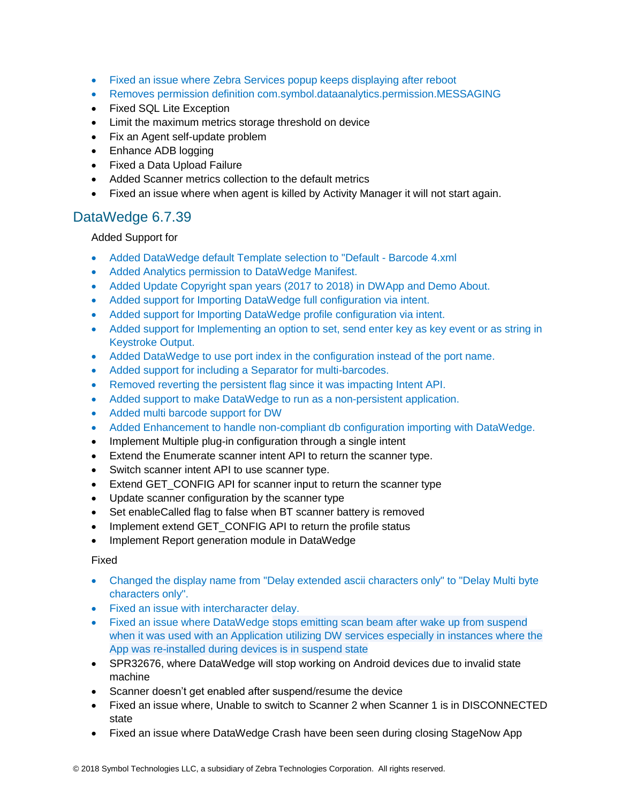- Fixed an issue where Zebra Services popup keeps displaying after reboot
- Removes permission definition com.symbol.dataanalytics.permission.MESSAGING
- Fixed SQL Lite Exception
- Limit the maximum metrics storage threshold on device
- Fix an Agent self-update problem
- Enhance ADB logging
- Fixed a Data Upload Failure
- Added Scanner metrics collection to the default metrics
- Fixed an issue where when agent is killed by Activity Manager it will not start again.

#### DataWedge 6.7.39

Added Support for

- Added DataWedge default Template selection to "Default Barcode 4.xml
- Added Analytics permission to DataWedge Manifest.
- Added Update Copyright span years (2017 to 2018) in DWApp and Demo About.
- Added support for Importing DataWedge full configuration via intent.
- Added support for Importing DataWedge profile configuration via intent.
- Added support for Implementing an option to set, send enter key as key event or as string in Keystroke Output.
- Added DataWedge to use port index in the configuration instead of the port name.
- Added support for including a Separator for multi-barcodes.
- Removed reverting the persistent flag since it was impacting Intent API.
- Added support to make DataWedge to run as a non-persistent application.
- Added multi barcode support for DW
- Added Enhancement to handle non-compliant db configuration importing with DataWedge.
- Implement Multiple plug-in configuration through a single intent
- Extend the Enumerate scanner intent API to return the scanner type.
- Switch scanner intent API to use scanner type.
- Extend GET CONFIG API for scanner input to return the scanner type
- Update scanner configuration by the scanner type
- Set enableCalled flag to false when BT scanner battery is removed
- Implement extend GET CONFIG API to return the profile status
- Implement Report generation module in DataWedge

Fixed

- Changed the display name from "Delay extended ascii characters only" to "Delay Multi byte characters only".
- Fixed an issue with intercharacter delay.
- Fixed an issue where DataWedge stops emitting scan beam after wake up from suspend when it was used with an Application utilizing DW services especially in instances where the App was re-installed during devices is in suspend state
- SPR32676, where DataWedge will stop working on Android devices due to invalid state machine
- Scanner doesn't get enabled after suspend/resume the device
- Fixed an issue where, Unable to switch to Scanner 2 when Scanner 1 is in DISCONNECTED state
- Fixed an issue where DataWedge Crash have been seen during closing StageNow App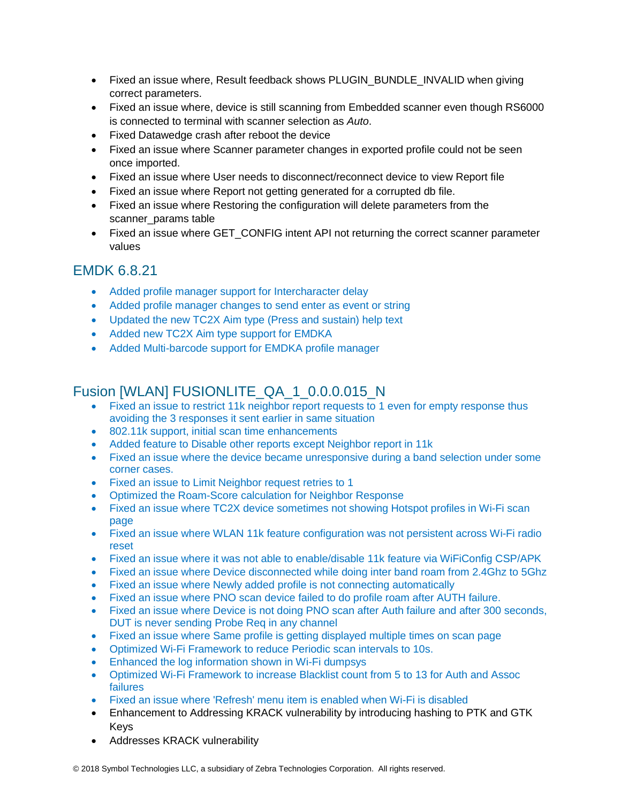- Fixed an issue where, Result feedback shows PLUGIN\_BUNDLE\_INVALID when giving correct parameters.
- Fixed an issue where, device is still scanning from Embedded scanner even though RS6000 is connected to terminal with scanner selection as *Auto*.
- Fixed Datawedge crash after reboot the device
- Fixed an issue where Scanner parameter changes in exported profile could not be seen once imported.
- Fixed an issue where User needs to disconnect/reconnect device to view Report file
- Fixed an issue where Report not getting generated for a corrupted db file.
- Fixed an issue where Restoring the configuration will delete parameters from the scanner\_params table
- Fixed an issue where GET\_CONFIG intent API not returning the correct scanner parameter values

#### EMDK 6.8.21

- Added profile manager support for Intercharacter delay
- Added profile manager changes to send enter as event or string
- Updated the new TC2X Aim type (Press and sustain) help text
- Added new TC2X Aim type support for EMDKA
- Added Multi-barcode support for EMDKA profile manager

### Fusion [WLAN] FUSIONLITE\_QA\_1\_0.0.0.015\_N

- Fixed an issue to restrict 11k neighbor report requests to 1 even for empty response thus avoiding the 3 responses it sent earlier in same situation
- 802.11k support, initial scan time enhancements
- Added feature to Disable other reports except Neighbor report in 11k
- Fixed an issue where the device became unresponsive during a band selection under some corner cases.
- Fixed an issue to Limit Neighbor request retries to 1
- Optimized the Roam-Score calculation for Neighbor Response
- Fixed an issue where TC2X device sometimes not showing Hotspot profiles in Wi-Fi scan page
- Fixed an issue where WLAN 11k feature configuration was not persistent across Wi-Fi radio reset
- Fixed an issue where it was not able to enable/disable 11k feature via WiFiConfig CSP/APK
- Fixed an issue where Device disconnected while doing inter band roam from 2.4Ghz to 5Ghz
- Fixed an issue where Newly added profile is not connecting automatically
- Fixed an issue where PNO scan device failed to do profile roam after AUTH failure.
- Fixed an issue where Device is not doing PNO scan after Auth failure and after 300 seconds, DUT is never sending Probe Req in any channel
- Fixed an issue where Same profile is getting displayed multiple times on scan page
- Optimized Wi-Fi Framework to reduce Periodic scan intervals to 10s.
- Enhanced the log information shown in Wi-Fi dumpsys
- Optimized Wi-Fi Framework to increase Blacklist count from 5 to 13 for Auth and Assoc failures
- Fixed an issue where 'Refresh' menu item is enabled when Wi-Fi is disabled
- Enhancement to Addressing KRACK vulnerability by introducing hashing to PTK and GTK Keys
- Addresses KRACK vulnerability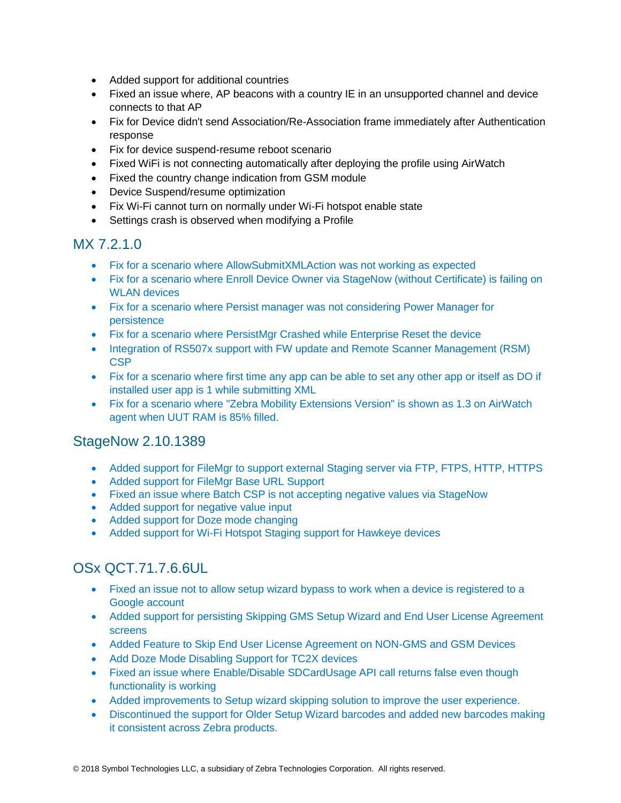- Added support for additional countries
- Fixed an issue where, AP beacons with a country IE in an unsupported channel and device connects to that AP
- Fix for Device didn't send Association/Re-Association frame immediately after Authentication response
- Fix for device suspend-resume reboot scenario
- Fixed WiFi is not connecting automatically after deploying the profile using AirWatch
- Fixed the country change indication from GSM module
- Device Suspend/resume optimization
- Fix Wi-Fi cannot turn on normally under Wi-Fi hotspot enable state
- Settings crash is observed when modifying a Profile

#### MX 7.2.1.0

- Fix for a scenario where AllowSubmitXMLAction was not working as expected
- Fix for a scenario where Enroll Device Owner via StageNow (without Certificate) is failing on WLAN devices
- Fix for a scenario where Persist manager was not considering Power Manager for persistence
- Fix for a scenario where PersistMgr Crashed while Enterprise Reset the device
- Integration of RS507x support with FW update and Remote Scanner Management (RSM) CSP
- Fix for a scenario where first time any app can be able to set any other app or itself as DO if installed user app is 1 while submitting XML
- Fix for a scenario where "Zebra Mobility Extensions Version" is shown as 1.3 on AirWatch agent when UUT RAM is 85% filled.

#### StageNow 2.10.1389

- Added support for FileMgr to support external Staging server via FTP, FTPS, HTTP, HTTPS
- Added support for FileMar Base URL Support
- Fixed an issue where Batch CSP is not accepting negative values via StageNow
- Added support for negative value input
- Added support for Doze mode changing
- Added support for Wi-Fi Hotspot Staging support for Hawkeye devices

### OSx QCT.71.7.6.6UL

- Fixed an issue not to allow setup wizard bypass to work when a device is registered to a Google account
- Added support for persisting Skipping GMS Setup Wizard and End User License Agreement screens
- Added Feature to Skip End User License Agreement on NON-GMS and GSM Devices
- Add Doze Mode Disabling Support for TC2X devices
- Fixed an issue where Enable/Disable SDCardUsage API call returns false even though functionality is working
- Added improvements to Setup wizard skipping solution to improve the user experience.
- Discontinued the support for Older Setup Wizard barcodes and added new barcodes making it consistent across Zebra products.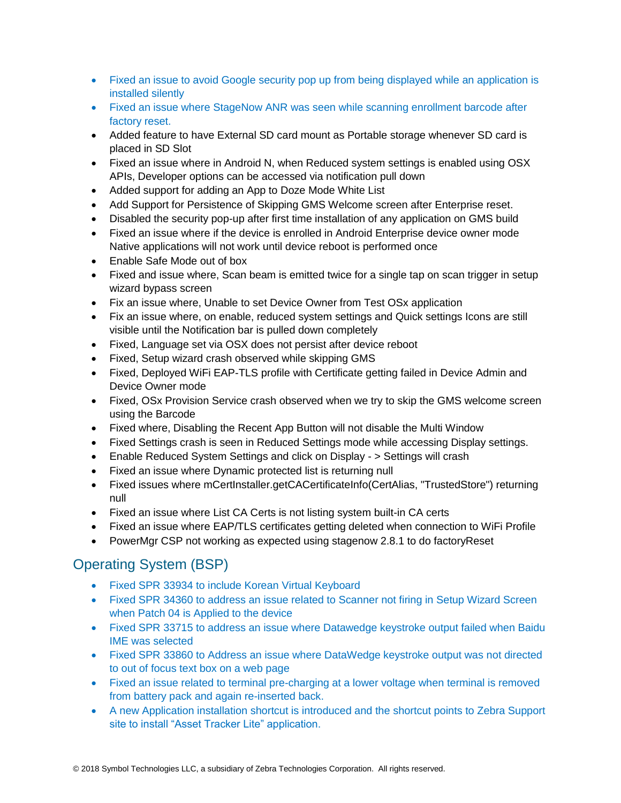- Fixed an issue to avoid Google security pop up from being displayed while an application is installed silently
- Fixed an issue where StageNow ANR was seen while scanning enrollment barcode after factory reset.
- Added feature to have External SD card mount as Portable storage whenever SD card is placed in SD Slot
- Fixed an issue where in Android N, when Reduced system settings is enabled using OSX APIs, Developer options can be accessed via notification pull down
- Added support for adding an App to Doze Mode White List
- Add Support for Persistence of Skipping GMS Welcome screen after Enterprise reset.
- Disabled the security pop-up after first time installation of any application on GMS build
- Fixed an issue where if the device is enrolled in Android Enterprise device owner mode Native applications will not work until device reboot is performed once
- Enable Safe Mode out of box
- Fixed and issue where, Scan beam is emitted twice for a single tap on scan trigger in setup wizard bypass screen
- Fix an issue where, Unable to set Device Owner from Test OSx application
- Fix an issue where, on enable, reduced system settings and Quick settings Icons are still visible until the Notification bar is pulled down completely
- Fixed, Language set via OSX does not persist after device reboot
- Fixed, Setup wizard crash observed while skipping GMS
- Fixed, Deployed WiFi EAP-TLS profile with Certificate getting failed in Device Admin and Device Owner mode
- Fixed, OSx Provision Service crash observed when we try to skip the GMS welcome screen using the Barcode
- Fixed where, Disabling the Recent App Button will not disable the Multi Window
- Fixed Settings crash is seen in Reduced Settings mode while accessing Display settings.
- Enable Reduced System Settings and click on Display > Settings will crash
- Fixed an issue where Dynamic protected list is returning null
- Fixed issues where mCertInstaller.getCACertificateInfo(CertAlias, "TrustedStore") returning null
- Fixed an issue where List CA Certs is not listing system built-in CA certs
- Fixed an issue where EAP/TLS certificates getting deleted when connection to WiFi Profile
- PowerMgr CSP not working as expected using stagenow 2.8.1 to do factoryReset

## Operating System (BSP)

- Fixed SPR 33934 to include Korean Virtual Keyboard
- Fixed SPR 34360 to address an issue related to Scanner not firing in Setup Wizard Screen when Patch 04 is Applied to the device
- Fixed SPR 33715 to address an issue where Datawedge keystroke output failed when Baidu IME was selected
- Fixed SPR 33860 to Address an issue where DataWedge keystroke output was not directed to out of focus text box on a web page
- Fixed an issue related to terminal pre-charging at a lower voltage when terminal is removed from battery pack and again re-inserted back.
- A new Application installation shortcut is introduced and the shortcut points to Zebra Support site to install "Asset Tracker Lite" application.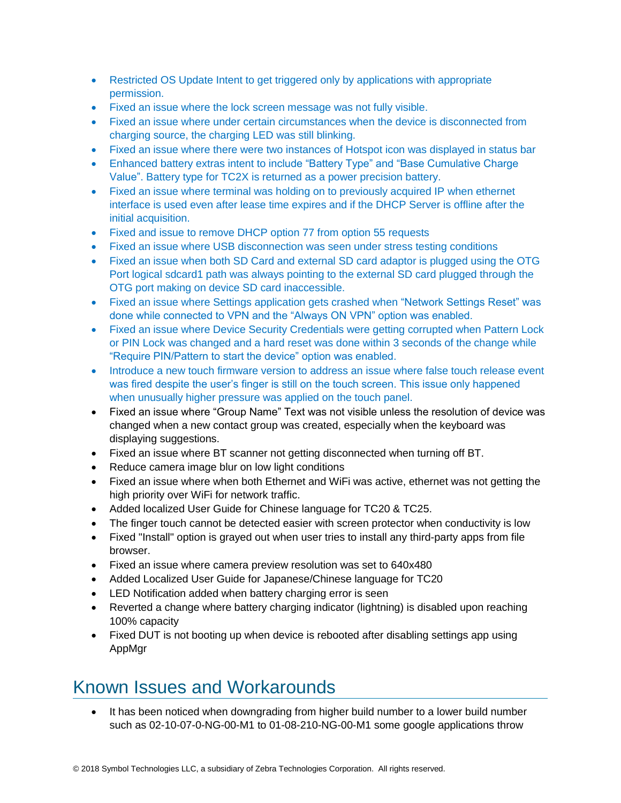- Restricted OS Update Intent to get triggered only by applications with appropriate permission.
- Fixed an issue where the lock screen message was not fully visible.
- Fixed an issue where under certain circumstances when the device is disconnected from charging source, the charging LED was still blinking.
- Fixed an issue where there were two instances of Hotspot icon was displayed in status bar
- Enhanced battery extras intent to include "Battery Type" and "Base Cumulative Charge" Value". Battery type for TC2X is returned as a power precision battery.
- Fixed an issue where terminal was holding on to previously acquired IP when ethernet interface is used even after lease time expires and if the DHCP Server is offline after the initial acquisition.
- Fixed and issue to remove DHCP option 77 from option 55 requests
- Fixed an issue where USB disconnection was seen under stress testing conditions
- Fixed an issue when both SD Card and external SD card adaptor is plugged using the OTG Port logical sdcard1 path was always pointing to the external SD card plugged through the OTG port making on device SD card inaccessible.
- Fixed an issue where Settings application gets crashed when "Network Settings Reset" was done while connected to VPN and the "Always ON VPN" option was enabled.
- Fixed an issue where Device Security Credentials were getting corrupted when Pattern Lock or PIN Lock was changed and a hard reset was done within 3 seconds of the change while "Require PIN/Pattern to start the device" option was enabled.
- Introduce a new touch firmware version to address an issue where false touch release event was fired despite the user's finger is still on the touch screen. This issue only happened when unusually higher pressure was applied on the touch panel.
- Fixed an issue where "Group Name" Text was not visible unless the resolution of device was changed when a new contact group was created, especially when the keyboard was displaying suggestions.
- Fixed an issue where BT scanner not getting disconnected when turning off BT.
- Reduce camera image blur on low light conditions
- Fixed an issue where when both Ethernet and WiFi was active, ethernet was not getting the high priority over WiFi for network traffic.
- Added localized User Guide for Chinese language for TC20 & TC25.
- The finger touch cannot be detected easier with screen protector when conductivity is low
- Fixed "Install" option is grayed out when user tries to install any third-party apps from file browser.
- Fixed an issue where camera preview resolution was set to 640x480
- Added Localized User Guide for Japanese/Chinese language for TC20
- LED Notification added when battery charging error is seen
- Reverted a change where battery charging indicator (lightning) is disabled upon reaching 100% capacity
- Fixed DUT is not booting up when device is rebooted after disabling settings app using AppMgr

## <span id="page-11-0"></span>Known Issues and Workarounds

• It has been noticed when downgrading from higher build number to a lower build number such as 02-10-07-0-NG-00-M1 to 01-08-210-NG-00-M1 some google applications throw